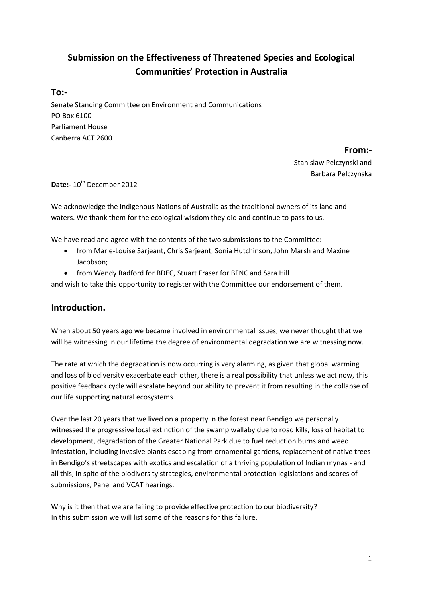# **Submission on the Effectiveness of Threatened Species and Ecological Communities' Protection in Australia**

### **To:-**

Senate Standing Committee on Environment and Communications PO Box 6100 Parliament House Canberra ACT 2600

> **From:-** Stanislaw Pelczynski and Barbara Pelczynska

Date:- 10<sup>th</sup> December 2012

We acknowledge the Indigenous Nations of Australia as the traditional owners of its land and waters. We thank them for the ecological wisdom they did and continue to pass to us.

We have read and agree with the contents of the two submissions to the Committee:

- from Marie-Louise Sarjeant, Chris Sarjeant, Sonia Hutchinson, John Marsh and Maxine Jacobson;
- from Wendy Radford for BDEC, Stuart Fraser for BFNC and Sara Hill

and wish to take this opportunity to register with the Committee our endorsement of them.

## **Introduction.**

When about 50 years ago we became involved in environmental issues, we never thought that we will be witnessing in our lifetime the degree of environmental degradation we are witnessing now.

The rate at which the degradation is now occurring is very alarming, as given that global warming and loss of biodiversity exacerbate each other, there is a real possibility that unless we act now, this positive feedback cycle will escalate beyond our ability to prevent it from resulting in the collapse of our life supporting natural ecosystems.

Over the last 20 years that we lived on a property in the forest near Bendigo we personally witnessed the progressive local extinction of the swamp wallaby due to road kills, loss of habitat to development, degradation of the Greater National Park due to fuel reduction burns and weed infestation, including invasive plants escaping from ornamental gardens, replacement of native trees in Bendigo's streetscapes with exotics and escalation of a thriving population of Indian mynas - and all this, in spite of the biodiversity strategies, environmental protection legislations and scores of submissions, Panel and VCAT hearings.

Why is it then that we are failing to provide effective protection to our biodiversity? In this submission we will list some of the reasons for this failure.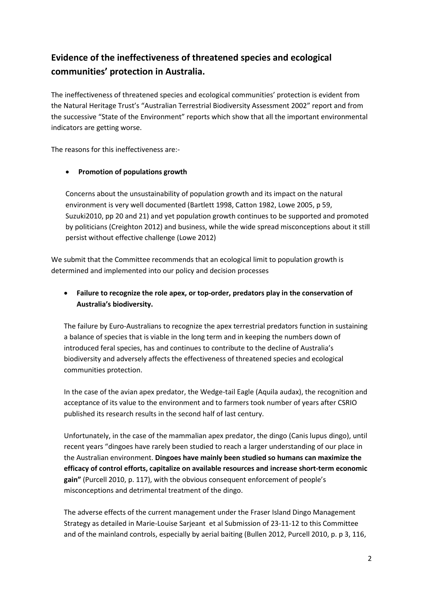## **Evidence of the ineffectiveness of threatened species and ecological communities' protection in Australia.**

The ineffectiveness of threatened species and ecological communities' protection is evident from the Natural Heritage Trust's "Australian Terrestrial Biodiversity Assessment 2002" report and from the successive "State of the Environment" reports which show that all the important environmental indicators are getting worse.

The reasons for this ineffectiveness are:-

#### **Promotion of populations growth**

Concerns about the unsustainability of population growth and its impact on the natural environment is very well documented (Bartlett 1998, Catton 1982, Lowe 2005, p 59, Suzuki2010, pp 20 and 21) and yet population growth continues to be supported and promoted by politicians (Creighton 2012) and business, while the wide spread misconceptions about it still persist without effective challenge (Lowe 2012)

We submit that the Committee recommends that an ecological limit to population growth is determined and implemented into our policy and decision processes

## **Failure to recognize the role apex, or top-order, predators play in the conservation of Australia's biodiversity.**

The failure by Euro-Australians to recognize the apex terrestrial predators function in sustaining a balance of species that is viable in the long term and in keeping the numbers down of introduced feral species, has and continues to contribute to the decline of Australia's biodiversity and adversely affects the effectiveness of threatened species and ecological communities protection.

In the case of the avian apex predator, the Wedge-tail Eagle (Aquila audax), the recognition and acceptance of its value to the environment and to farmers took number of years after CSRIO published its research results in the second half of last century.

Unfortunately, in the case of the mammalian apex predator, the dingo (Canis lupus dingo), until recent years "dingoes have rarely been studied to reach a larger understanding of our place in the Australian environment. **Dingoes have mainly been studied so humans can maximize the efficacy of control efforts, capitalize on available resources and increase short-term economic gain"** (Purcell 2010, p. 117), with the obvious consequent enforcement of people's misconceptions and detrimental treatment of the dingo.

The adverse effects of the current management under the Fraser Island Dingo Management Strategy as detailed in Marie-Louise Sarjeant et al Submission of 23-11-12 to this Committee and of the mainland controls, especially by aerial baiting (Bullen 2012, Purcell 2010, p. p 3, 116,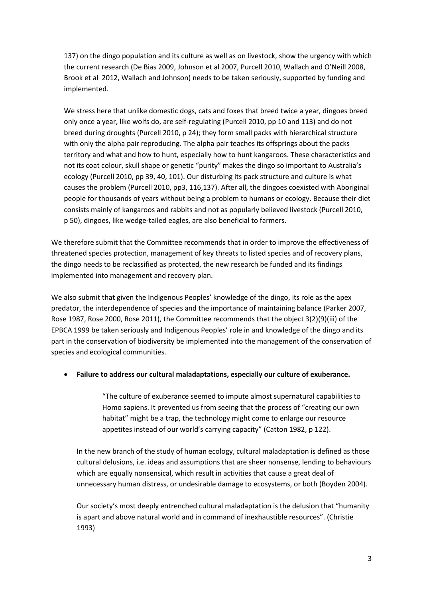137) on the dingo population and its culture as well as on livestock, show the urgency with which the current research (De Bias 2009, Johnson et al 2007, Purcell 2010, Wallach and O'Neill 2008, Brook et al 2012, Wallach and Johnson) needs to be taken seriously, supported by funding and implemented.

We stress here that unlike domestic dogs, cats and foxes that breed twice a year, dingoes breed only once a year, like wolfs do, are self-regulating (Purcell 2010, pp 10 and 113) and do not breed during droughts (Purcell 2010, p 24); they form small packs with hierarchical structure with only the alpha pair reproducing. The alpha pair teaches its offsprings about the packs territory and what and how to hunt, especially how to hunt kangaroos. These characteristics and not its coat colour, skull shape or genetic "purity" makes the dingo so important to Australia's ecology (Purcell 2010, pp 39, 40, 101). Our disturbing its pack structure and culture is what causes the problem (Purcell 2010, pp3, 116,137). After all, the dingoes coexisted with Aboriginal people for thousands of years without being a problem to humans or ecology. Because their diet consists mainly of kangaroos and rabbits and not as popularly believed livestock (Purcell 2010, p 50), dingoes, like wedge-tailed eagles, are also beneficial to farmers.

We therefore submit that the Committee recommends that in order to improve the effectiveness of threatened species protection, management of key threats to listed species and of recovery plans, the dingo needs to be reclassified as protected, the new research be funded and its findings implemented into management and recovery plan.

We also submit that given the Indigenous Peoples' knowledge of the dingo, its role as the apex predator, the interdependence of species and the importance of maintaining balance (Parker 2007, Rose 1987, Rose 2000, Rose 2011), the Committee recommends that the object 3(2)(9)(iii) of the EPBCA 1999 be taken seriously and Indigenous Peoples' role in and knowledge of the dingo and its part in the conservation of biodiversity be implemented into the management of the conservation of species and ecological communities.

#### **Failure to address our cultural maladaptations, especially our culture of exuberance.**

"The culture of exuberance seemed to impute almost supernatural capabilities to Homo sapiens. It prevented us from seeing that the process of "creating our own habitat" might be a trap, the technology might come to enlarge our resource appetites instead of our world's carrying capacity" (Catton 1982, p 122).

In the new branch of the study of human ecology, cultural maladaptation is defined as those cultural delusions, i.e. ideas and assumptions that are sheer nonsense, lending to behaviours which are equally nonsensical, which result in activities that cause a great deal of unnecessary human distress, or undesirable damage to ecosystems, or both (Boyden 2004).

Our society's most deeply entrenched cultural maladaptation is the delusion that "humanity is apart and above natural world and in command of inexhaustible resources". (Christie 1993)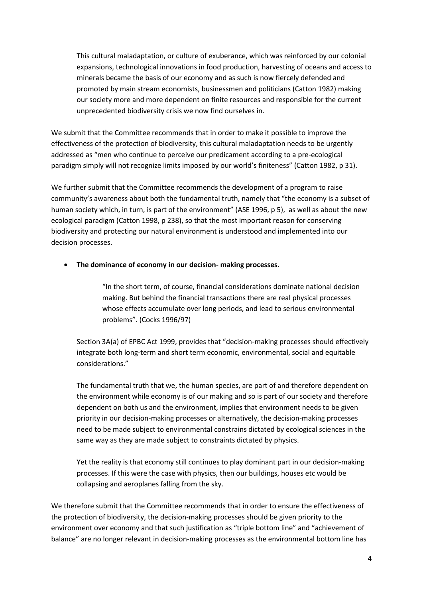This cultural maladaptation, or culture of exuberance, which was reinforced by our colonial expansions, technological innovations in food production, harvesting of oceans and access to minerals became the basis of our economy and as such is now fiercely defended and promoted by main stream economists, businessmen and politicians (Catton 1982) making our society more and more dependent on finite resources and responsible for the current unprecedented biodiversity crisis we now find ourselves in.

We submit that the Committee recommends that in order to make it possible to improve the effectiveness of the protection of biodiversity, this cultural maladaptation needs to be urgently addressed as "men who continue to perceive our predicament according to a pre-ecological paradigm simply will not recognize limits imposed by our world's finiteness" (Catton 1982, p 31).

We further submit that the Committee recommends the development of a program to raise community's awareness about both the fundamental truth, namely that "the economy is a subset of human society which, in turn, is part of the environment" (ASE 1996, p 5), as well as about the new ecological paradigm (Catton 1998, p 238), so that the most important reason for conserving biodiversity and protecting our natural environment is understood and implemented into our decision processes.

#### **The dominance of economy in our decision- making processes.**

"In the short term, of course, financial considerations dominate national decision making. But behind the financial transactions there are real physical processes whose effects accumulate over long periods, and lead to serious environmental problems". (Cocks 1996/97)

Section 3A(a) of EPBC Act 1999, provides that "decision-making processes should effectively integrate both long-term and short term economic, environmental, social and equitable considerations."

The fundamental truth that we, the human species, are part of and therefore dependent on the environment while economy is of our making and so is part of our society and therefore dependent on both us and the environment, implies that environment needs to be given priority in our decision-making processes or alternatively, the decision-making processes need to be made subject to environmental constrains dictated by ecological sciences in the same way as they are made subject to constraints dictated by physics.

Yet the reality is that economy still continues to play dominant part in our decision-making processes. If this were the case with physics, then our buildings, houses etc would be collapsing and aeroplanes falling from the sky.

We therefore submit that the Committee recommends that in order to ensure the effectiveness of the protection of biodiversity, the decision-making processes should be given priority to the environment over economy and that such justification as "triple bottom line" and "achievement of balance" are no longer relevant in decision-making processes as the environmental bottom line has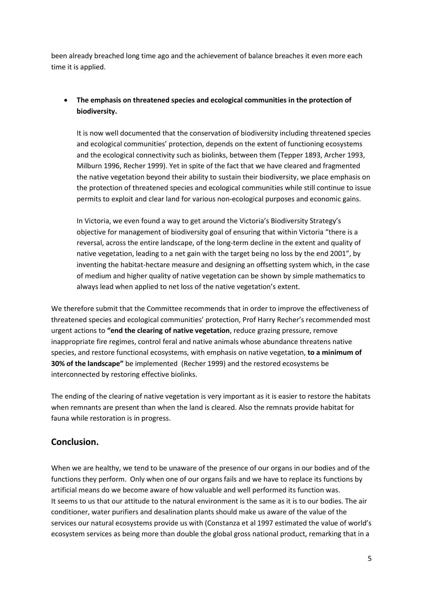been already breached long time ago and the achievement of balance breaches it even more each time it is applied.

## **The emphasis on threatened species and ecological communities in the protection of biodiversity.**

It is now well documented that the conservation of biodiversity including threatened species and ecological communities' protection, depends on the extent of functioning ecosystems and the ecological connectivity such as biolinks, between them (Tepper 1893, Archer 1993, Milburn 1996, Recher 1999). Yet in spite of the fact that we have cleared and fragmented the native vegetation beyond their ability to sustain their biodiversity, we place emphasis on the protection of threatened species and ecological communities while still continue to issue permits to exploit and clear land for various non-ecological purposes and economic gains.

In Victoria, we even found a way to get around the Victoria's Biodiversity Strategy's objective for management of biodiversity goal of ensuring that within Victoria "there is a reversal, across the entire landscape, of the long-term decline in the extent and quality of native vegetation, leading to a net gain with the target being no loss by the end 2001", by inventing the habitat-hectare measure and designing an offsetting system which, in the case of medium and higher quality of native vegetation can be shown by simple mathematics to always lead when applied to net loss of the native vegetation's extent.

We therefore submit that the Committee recommends that in order to improve the effectiveness of threatened species and ecological communities' protection, Prof Harry Recher's recommended most urgent actions to **"end the clearing of native vegetation**, reduce grazing pressure, remove inappropriate fire regimes, control feral and native animals whose abundance threatens native species, and restore functional ecosystems, with emphasis on native vegetation, **to a minimum of 30% of the landscape"** be implemented (Recher 1999) and the restored ecosystems be interconnected by restoring effective biolinks.

The ending of the clearing of native vegetation is very important as it is easier to restore the habitats when remnants are present than when the land is cleared. Also the remnats provide habitat for fauna while restoration is in progress.

## **Conclusion.**

When we are healthy, we tend to be unaware of the presence of our organs in our bodies and of the functions they perform. Only when one of our organs fails and we have to replace its functions by artificial means do we become aware of how valuable and well performed its function was. It seems to us that our attitude to the natural environment is the same as it is to our bodies. The air conditioner, water purifiers and desalination plants should make us aware of the value of the services our natural ecosystems provide us with (Constanza et al 1997 estimated the value of world's ecosystem services as being more than double the global gross national product, remarking that in a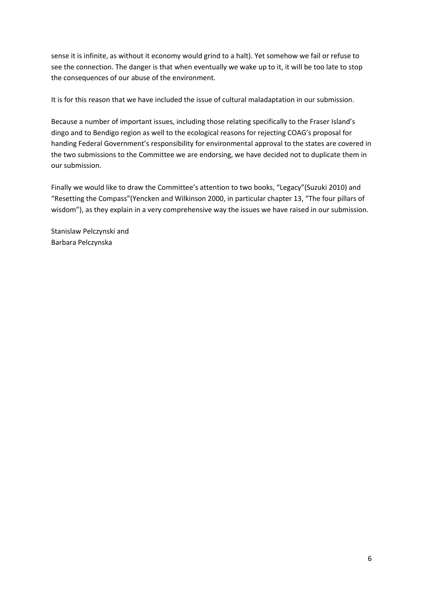sense it is infinite, as without it economy would grind to a halt). Yet somehow we fail or refuse to see the connection. The danger is that when eventually we wake up to it, it will be too late to stop the consequences of our abuse of the environment.

It is for this reason that we have included the issue of cultural maladaptation in our submission.

Because a number of important issues, including those relating specifically to the Fraser Island's dingo and to Bendigo region as well to the ecological reasons for rejecting COAG's proposal for handing Federal Government's responsibility for environmental approval to the states are covered in the two submissions to the Committee we are endorsing, we have decided not to duplicate them in our submission.

Finally we would like to draw the Committee's attention to two books, "Legacy"(Suzuki 2010) and "Resetting the Compass"(Yencken and Wilkinson 2000, in particular chapter 13, "The four pillars of wisdom"), as they explain in a very comprehensive way the issues we have raised in our submission.

Stanislaw Pelczynski and Barbara Pelczynska